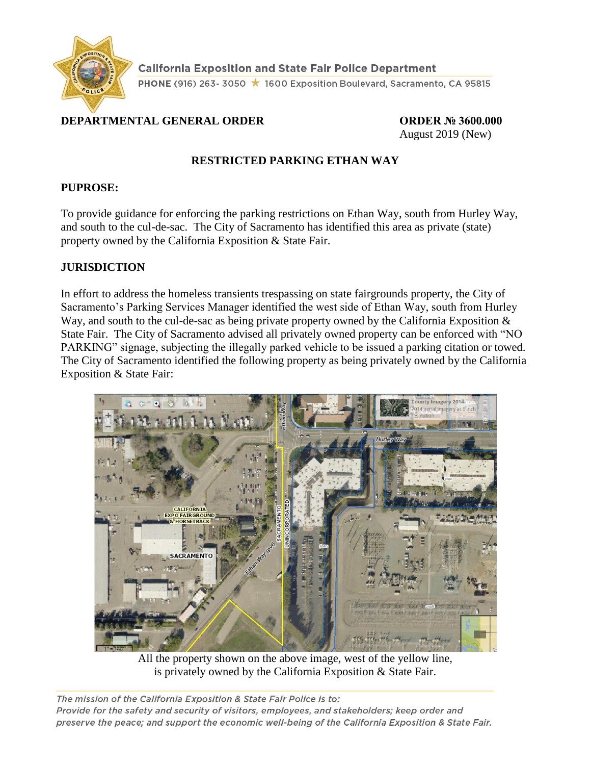

**California Exposition and State Fair Police Department** PHONE (916) 263-3050 ★ 1600 Exposition Boulevard, Sacramento, CA 95815

# **DEPARTMENTAL GENERAL ORDER ORDER № 3600.000**

August 2019 (New)

# **RESTRICTED PARKING ETHAN WAY**

#### **PUPROSE:**

To provide guidance for enforcing the parking restrictions on Ethan Way, south from Hurley Way, and south to the cul-de-sac. The City of Sacramento has identified this area as private (state) property owned by the California Exposition & State Fair.

#### **JURISDICTION**

In effort to address the homeless transients trespassing on state fairgrounds property, the City of Sacramento's Parking Services Manager identified the west side of Ethan Way, south from Hurley Way, and south to the cul-de-sac as being private property owned by the California Exposition  $\&$ State Fair. The City of Sacramento advised all privately owned property can be enforced with "NO PARKING" signage, subjecting the illegally parked vehicle to be issued a parking citation or towed. The City of Sacramento identified the following property as being privately owned by the California Exposition & State Fair:



All the property shown on the above image, west of the yellow line, is privately owned by the California Exposition & State Fair.

The mission of the California Exposition & State Fair Police is to: Provide for the safety and security of visitors, employees, and stakeholders; keep order and preserve the peace; and support the economic well-being of the California Exposition & State Fair.